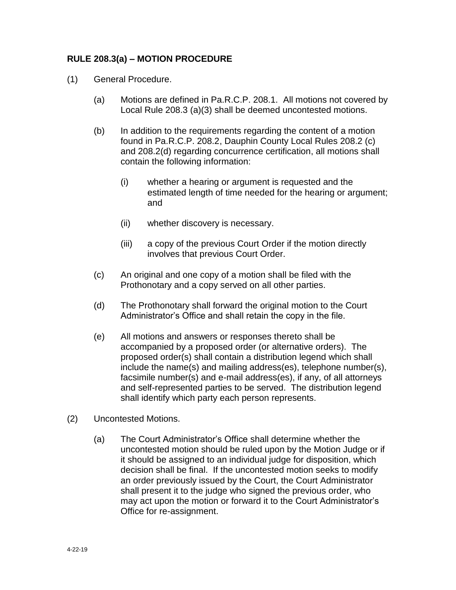## **RULE 208.3(a) – MOTION PROCEDURE**

- (1) General Procedure.
	- (a) Motions are defined in Pa.R.C.P. 208.1. All motions not covered by Local Rule 208.3 (a)(3) shall be deemed uncontested motions.
	- (b) In addition to the requirements regarding the content of a motion found in Pa.R.C.P. 208.2, Dauphin County Local Rules 208.2 (c) and 208.2(d) regarding concurrence certification, all motions shall contain the following information:
		- (i) whether a hearing or argument is requested and the estimated length of time needed for the hearing or argument; and
		- (ii) whether discovery is necessary.
		- (iii) a copy of the previous Court Order if the motion directly involves that previous Court Order.
	- (c) An original and one copy of a motion shall be filed with the Prothonotary and a copy served on all other parties.
	- (d) The Prothonotary shall forward the original motion to the Court Administrator's Office and shall retain the copy in the file.
	- (e) All motions and answers or responses thereto shall be accompanied by a proposed order (or alternative orders). The proposed order(s) shall contain a distribution legend which shall include the name(s) and mailing address(es), telephone number(s), facsimile number(s) and e-mail address(es), if any, of all attorneys and self-represented parties to be served. The distribution legend shall identify which party each person represents.
- (2) Uncontested Motions.
	- (a) The Court Administrator's Office shall determine whether the uncontested motion should be ruled upon by the Motion Judge or if it should be assigned to an individual judge for disposition, which decision shall be final. If the uncontested motion seeks to modify an order previously issued by the Court, the Court Administrator shall present it to the judge who signed the previous order, who may act upon the motion or forward it to the Court Administrator's Office for re-assignment.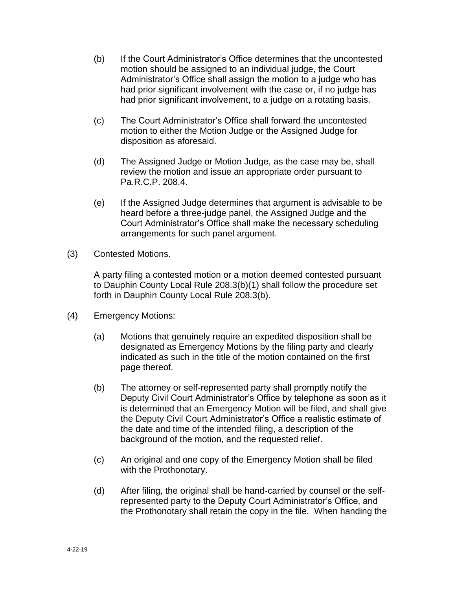- (b) If the Court Administrator's Office determines that the uncontested motion should be assigned to an individual judge, the Court Administrator's Office shall assign the motion to a judge who has had prior significant involvement with the case or, if no judge has had prior significant involvement, to a judge on a rotating basis.
- (c) The Court Administrator's Office shall forward the uncontested motion to either the Motion Judge or the Assigned Judge for disposition as aforesaid.
- (d) The Assigned Judge or Motion Judge, as the case may be, shall review the motion and issue an appropriate order pursuant to Pa.R.C.P. 208.4.
- (e) If the Assigned Judge determines that argument is advisable to be heard before a three-judge panel, the Assigned Judge and the Court Administrator's Office shall make the necessary scheduling arrangements for such panel argument.
- (3) Contested Motions.

A party filing a contested motion or a motion deemed contested pursuant to Dauphin County Local Rule 208.3(b)(1) shall follow the procedure set forth in Dauphin County Local Rule 208.3(b).

- (4) Emergency Motions:
	- (a) Motions that genuinely require an expedited disposition shall be designated as Emergency Motions by the filing party and clearly indicated as such in the title of the motion contained on the first page thereof.
	- (b) The attorney or self-represented party shall promptly notify the Deputy Civil Court Administrator's Office by telephone as soon as it is determined that an Emergency Motion will be filed, and shall give the Deputy Civil Court Administrator's Office a realistic estimate of the date and time of the intended filing, a description of the background of the motion, and the requested relief.
	- (c) An original and one copy of the Emergency Motion shall be filed with the Prothonotary.
	- (d) After filing, the original shall be hand-carried by counsel or the selfrepresented party to the Deputy Court Administrator's Office, and the Prothonotary shall retain the copy in the file. When handing the